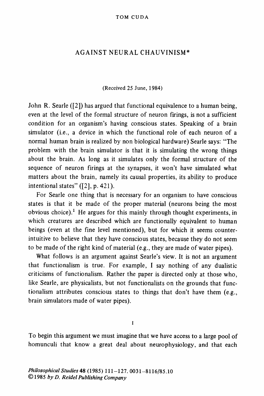## **AGAINST NEURAL CHAUVINISM\***

### **(Received 25 June, 1984)**

**John R. Searle ([2]) has argued that functional equivalence to a human being, even at the level of the formal structure of neuron firings, is not a sufficient condition for an organism's having conscious states. Speaking of a brain simulator (i.e., a device in which the functional role of each neuron of a normal human brain is realized by non biological hardware) Searle says: "The problem with the brain simulator is that it is simulating the wrong things about the brain. As long as it simulates only the formal structure of the sequence of neuron firings at the synapses, it won't have simulated what matters about the brain, namely its causal properties, its ability to produce intentional states" ([2], p. 421).** 

**For Searle one thing that is necessary for an organism to have conscious states is that it be made of the proper material (neurons being the most obvious choice).' He argues for this mainly through thought experiments, in which creatures are described which are functionally equivalent to human beings (even at the fine level mentioned), but for which it seems counterintuitive to believe that they have conscious states, because they do not seem to be made of the right kind of material (e.g., they are made of water pipes).** 

**What follows is an argument against Searle's view. It is not an argument that functionalism is true. For example, I say nothing of any dualistic criticisms of functionalism. Rather the paper is directed only at those who, like Searle, are physicalists, but not functionalists on the grounds that functionalism attributes conscious states to things that don't have them (e.g., brain simulators made of water pipes).** 

 $\mathbf{I}$ 

**To begin this argument we must imagine that we have access to a large pool of homunculi that know a great deal about neurophysiology, and that each**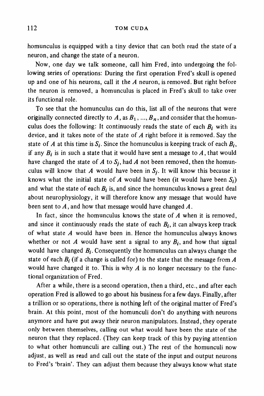**homunculus is equipped with a tiny device that can both read the state of a neuron, and change the state of a neuron.** 

**Now, one day we talk someone, call him Fred, into undergoing the following series of operations: During the first operation Fred's skull is opened up and one of his neurons, call it the A neuron, is removed. But right before the neuron is removed, a homunculus is placed in Fred's skull to take over its functional role.** 

**To see that the homunculus can do this, list all of the neurons that were**  originally connected directly to  $A$ , as  $B_1$ , ...,  $B_n$ , and consider that the homunculus does the following: It continuously reads the state of each  $B_i$  with its **device, and it takes note of the state of A right before it is removed. Say the**  state of A at this time is  $S_i$ . Since the homunculus is keeping track of each  $B_i$ , if any  $B_i$  is in such a state that it would have sent a message to  $A$ , that would have changed the state of A to S<sub>i</sub>, had A not been removed, then the homunculus will know that A would have been in  $S_i$ . It will know this because it knows what the initial state of A would have been (it would have been  $S_i$ ) and what the state of each  $B_i$  is, and since the homunculus knows a great deal **about neurophysiology, it will therefore know any message that would have been sent to A, and how that message would have changed A.** 

**In fact, since the homunculus knows the state of A when it is removed,**  and since it continuously reads the state of each  $B_i$ , it can always keep track **of what state A would have been in. Hence the homunculus always knows**  whether or not  $A$  would have sent a signal to any  $B_i$ , and how that signal would have changed  $B_i$ . Consequently the homunculus can always change the state of each  $B_i$  (if a change is called for) to the state that the message from  $A$ **would have changed it to. This is why A is no longer necessary to the functional organization of Fred.** 

**After a while, there is a second operation, then a third, etc., and after each operation Fred is allowed to go about his business for a few days. Finally, after a trillion or so operations, there is nothing left of the original matter of Fred's brain. At this point, most of the homunculi don't do anything with neurons anymore and have put away their neuron manipulators. Instead, they operate only between themselves, calling out what would have been the state of the neuron that they replaced. (They can keep track of this by paying attention to what other homunculi are calling out.) The rest of the homunculi now adjust, as well as read and call out the state of the input and output neurons to Fred's 'brain'. They can adjust them because they always know what state**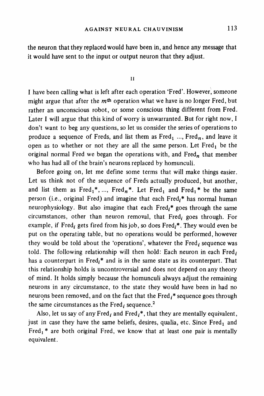**the neuron that they replaced would have been in, and hence any message that it would have sent to the input or output neuron that they adjust.** 

**II** 

**I have been calling what is left after each operation 'Fred'. However, someone might argue that after the mth operation what we have is no longer Fred, but rather an unconscious robot, or some conscious thing different from Fred. Later I will argue that this kind of worry is unwarranted. But for right now, I don't want to beg any questions, so let us consider the series of operations to**  produce a sequence of Freds, and list them as  $Fred_1$  ...,  $Fred_n$ , and leave it open as to whether or not they are all the same person. Let Fred<sub>1</sub> be the original normal Fred we began the operations with, and Fred<sub>n</sub> that member **who has had all of the brain's neurons replaced by homunculi.** 

**Before going on, let me define some terms that will make things easier. Let us think not of the sequence of Freds actually produced, but another,**  and list them as Fred<sub>1</sub><sup>\*</sup>, ..., Fred<sub>n</sub><sup>\*</sup>. Let Fred<sub>1</sub> and Fred<sub>1</sub><sup>\*</sup> be the same person (i.e., original Fred) and imagine that each Fred<sub>i</sub>\* has normal human neurophysiology. But also imagine that each Fred<sub>i</sub>\* goes through the same circumstances, other than neuron removal, that Fred<sub>i</sub> goes through. For example, if Fred<sub>i</sub> gets fired from his job, so does Fred<sub>i</sub>\*. They would even be **put on the operating table, but no operations would be performed, however**  they would be told about the 'operations', whatever the  $\text{Fred}_i$  sequence was told. The following relationship will then hold: Each neuron in each Fred<sub>i</sub> has a counterpart in Fred<sub>i</sub><sup>\*</sup> and is in the same state as its counterpart. That **this relationship holds is uncontroversial and does not depend on any theory of mind. It holds simply because the homunculi always adjust the remaining neurons in any circumstance, to the state they would have been in had no**  neurons been removed, and on the fact that the Fred<sub>i</sub>\* sequence goes through the same circumstances as the Fred<sub>i</sub> sequence.<sup>2</sup>

Also, let us say of any Fred<sub>i</sub> and Fred<sub>i</sub><sup>\*</sup>, that they are mentally equivalent, just in case they have the same beliefs, desires, qualia, etc. Since Fred<sub>1</sub> and Fred<sub>1</sub><sup>\*</sup> are both original Fred, we know that at least one pair is mentally **equivalent.**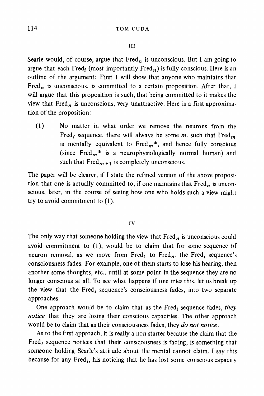### **III**

Searle would, of course, argue that  $Fred<sub>n</sub>$  is unconscious. But I am going to argue that each Fred<sub>i</sub> (most importantly Fred<sub>n</sub>) is fully conscious. Here is an **outline of the argument: First I will show that anyone who maintains that**  Fred<sub>n</sub> is unconscious, is committed to a certain proposition. After that, I **will argue that this proposition is such, that being committed to it makes the**  view that Fred<sub>n</sub> is unconscious, very unattractive. Here is a first approxima**tion of the proposition:** 

**(1) No matter in what order we remove the neurons from the**  Fred<sub>i</sub> sequence, there will always be some  $m$ , such that Fred<sub>m</sub> is mentally equivalent to  $Fred<sub>m</sub>$ <sup>\*</sup>, and hence fully conscious (since Fred<sub>m</sub><sup>\*</sup> is a neurophysiologically normal human) and such that  $Fred_{m+1}$  is completely unconscious.

**The paper will be clearer, if I state the refined version of the above proposi**tion that one is actually committed to, if one maintains that Fred<sub>n</sub> is uncon**scious, later, in the course of seeing how one who holds such a view might try to avoid commitment to (1).** 

### **IV**

The only way that someone holding the view that  $Fred<sub>n</sub>$  is unconscious could **avoid commitment to (1), would be to claim that for some sequence of**  neuron removal, as we move from Fred<sub>1</sub> to Fred<sub>n</sub>, the Fred<sub>i</sub> sequence's **consciousness fades. For example, one of them starts to lose his hearing, then another some thoughts, etc., until at some point in the sequence they are no longer conscious at all. To see what happens if one tries this, let us break up**  the view that the Fred<sub>i</sub> sequence's consciousness fades, into two separate **approaches.** 

One approach would be to claim that as the Fred<sub>i</sub> sequence fades, they **notice that they are losing their conscious capacities. The other approach would be to claim that as their consciousness fades, they do not notice.** 

**As to the first approach, it is really a non starter because the claim that the**  Fred<sub>i</sub> sequence notices that their consciousness is fading, is something that **someone holding Searle's attitude about the mental cannot claim. I say this because for any Fred**<sub>i</sub>, his noticing that he has lost some conscious capacity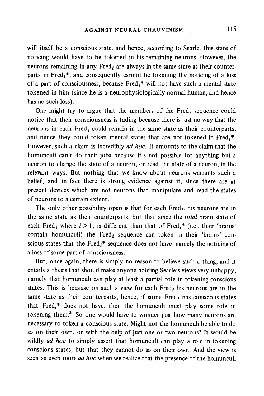**will itself be a conscious state, and hence, according to Searle, this state of noticing would have to be tokened in his remaining neurons. However, the**  neurons remaining in any Fred, are always in the same state as their counterparts in Fred<sub>i</sub><sup>\*</sup>, and consequently cannot be tokening the noticing of a loss of a part of consciousness, because Fred<sub>i</sub><sup>\*</sup> will not have such a mental state **tokened in him (since he is a neurophysiologically normal human, and hence has no such loss).** 

One might try to argue that the members of the Fred<sub>i</sub> sequence could **notice that their consciousness is fading because there is just no way that the**  neurons in each Fred<sub>i</sub> could remain in the same state as their counterparts, and hence they could token mental states that are not tokened in Fred<sub>i</sub>\*. **However, such a claim is incredibly ad hoc. It amounts to the claim that the homunculi can't do their jobs because it's not possible for anything but a neuron to change the state of a neuron, or read the state of a neuron, in the relevant ways. But nothing that we know about neurons warrants such a belief, and in fact there is strong evidence against it, since there are at present devices which are not neurons that manipulate and read the states of neurons to a certain extent.** 

The only other possibility open is that for each  $Fred<sub>i</sub>$ , his neurons are in **the same state as their counterparts, but that since the total brain state of**  each Fred<sub>i</sub> where  $i > 1$ , is different than that of Fred<sub>i</sub><sup>\*</sup> (i.e., thair 'brains' contain homunculi) the Fred<sub>i</sub> sequence can token in their 'brains' conscious states that the Fred<sub>i</sub><sup>\*</sup> sequence does not have, namely the noticing of **a loss of some part of consciousness.** 

**But, once again, there is simply no reason to believe such a thing, and it entails a thesis that should make anyone holding Searle's views very unhappy, namely that homunculi can play at least a partial role in tokening conscious**  states. This is because on such a view for each  $Fred<sub>i</sub>$  his neurons are in the same state as their counterparts, hence, if some Fred<sub>i</sub> has conscious states **that Fredi\* does not have, then the homunculi must play some role in tokening them.3 So one would have to wonder just how many neurons are necessary to token a conscious state. Might not the homunculi be able to do so on their own, or with the help of just one or two neurons? It would be wildly ad hoc to simply assert that homunculi can play a role in tokening conscious states, but that they cannot do so on their own. And the view is seen as even more ad hoc when we realize that the presence of the homunculi**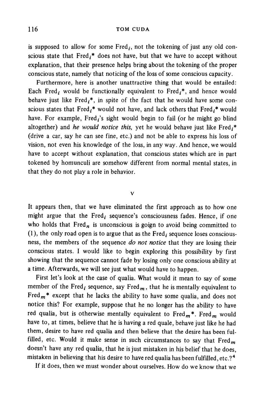is supposed to allow for some  $Fred_i$ , not the tokening of just any old conscious state that Fred<sub>i</sub><sup>\*</sup> does not have, but that we have to accept without **explanation, that their presence helps bring about the tokening of the proper conscious state, namely that noticing of the loss of some conscious capacity.** 

**Furthermore, here is another unattractive thing that would be entailed:**  Each Fred<sub>i</sub> would be functionally equivalent to Fred<sub>i</sub><sup>\*</sup>, and hence would behave just like Fred<sub>i</sub><sup>\*</sup>, in spite of the fact that he would have some conscious states that  $\text{Fred}_i^*$  would not have, and lack others that  $\text{Fred}_i^*$  would have. For example, Fred<sub>i</sub>'s sight would begin to fail (or he might go blind altogether) and he would notice this, yet he would behave just like Fred<sub>i</sub>\* **(drive a car, say he can see fine, etc.) and not be able to express his loss of vision, not even his knowledge of the loss, in any way. And hence, we would have to accept without explanation, that conscious states which are in part tokened by homunculi are somehow different from normal mental states, in that they do not play a role in behavior.** 

#### **v**

**It appears then, that we have eliminated the first approach as to how one**  might argue that the Fred<sub>i</sub> sequence's consciousness fades. Hence, if one who holds that  $Fred<sub>n</sub>$  is unconscious is goign to avoid being committed to  $(1)$ , the only road open is to argue that as the Fred<sub>i</sub> sequence loses conscious**ness, the members of the sequence do not notice that they are losing their conscious states. I would like to begin exploring this possibility by first showing that the sequence cannot fade by losing only one conscious ability at a time. Afterwards, we will see just what would have to happen.** 

**First let's look at the case of qualia. What would it mean to say of some**  member of the Fred<sub>i</sub> sequence, say Fred<sub>m</sub>, that he is mentally equivalent to Fred $m^*$  except that he lacks the ability to have some qualia, and does not **notice this? For example, suppose that he no longer has the ability to have**  red qualia, but is otherwise mentally equivalent to  $\text{Fred}_m^*$ . Fred<sub>m</sub> would **have to, at times, believe that he is having a red quale, behave just like he had them, desire to have red qualia and then believe that the desire has been ful**filled, etc. Would it make sense in such circumstances to say that Fred<sub>m</sub> **doesn't have any red qualia, that he is just mistaken in his belief that he does, mistaken in believing that his desire to have red qualia has been fulfilled, etc.?4** 

**If it does, then we must wonder about ourselves. How do we know that we**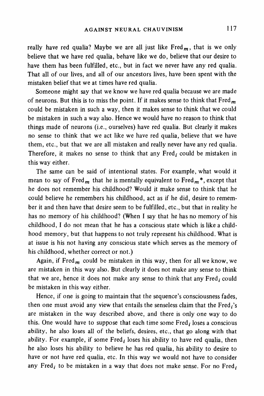really have red qualia? Maybe we are all just like  $Fred<sub>m</sub>$ , that is we only **believe that we have red qualia, behave like we do, believe that our desire to have them has been fulfilled, etc., but in fact we never have any red qualia. That all of our lives, and all of our ancestors lives, have been spent with the mistaken belief that we at times have red qualia.** 

**Someone might say that we know we have red qualia because we are made**  of neurons. But this is to miss the point. If it makes sense to think that Fred<sub>m</sub> **could be mistaken in such a way, then it makes sense to think that we could be mistaken in such a way also. Hence we would have no reason to think that things made of neurons (i.e., ourselves) have red qualia. But clearly it makes no sense to think that we act like we have red qualia, believe that we have them, etc., but that we are all mistaken and really never have any red qualia.**  Therefore, it makes no sense to think that any Fred, could be mistaken in **this way either.** 

**The same can be said of intentional states. For example, what would it**  mean to say of Fred<sub>m</sub> that he is mentally equivalent to Fred<sub>m</sub><sup>\*</sup>, except that **he does not remember his childhood? Would it make sense to think that he could believe he remembers his childhood, act as if he did, desire to remember it and then have that desire seem to be fulfilled, etc., but that in reality he has no memory of his childhood? (When I say that he has no memory of his childhood, I do not mean that he has a conscious state which is like a childhood memory, but that happens to not truly represent his childhood. What is at issue is his not having any conscious state which serves as the memory of his childhood, whether correct or not.)** 

Again, if Fred<sub>m</sub> could be mistaken in this way, then for all we know, we **are mistaken in this way also. But clearly it does not make any sense to think**  that we are, hence it does not make any sense to think that any Fred<sub>i</sub> could **be mistaken in this way either.** 

**Hence, if one is going to maintain that the sequence's consciousness fades,**  then one must avoid any view that entails the senseless claim that the Fred<sub>i</sub>'s **are mistaken in the way described above, and there is only one way to do**  this. One would have to suppose that each time some Fred, loses a conscious **ability, he also loses all of the beliefs, desires, etc., that go along with that**  ability. For example, if some Fred<sub>i</sub> loses his ability to have red qualia, then **he also loses his ability to believe he has red qualia, his ability to desire to have or not have red qualia, etc. In this way we would not have to consider**  any Fred<sub>i</sub> to be mistaken in a way that does not make sense. For no Fred<sub>i</sub>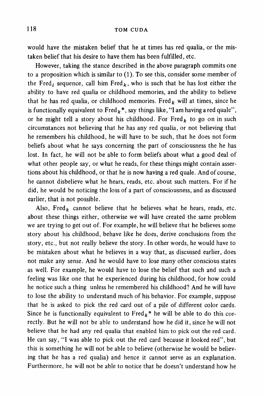**would have the mistaken belief that he at times has red qualia, or the mistaken belief that his desire to have them has been fulfilled, etc.** 

**However, taking the stance described in the above paragraph commits one to a proposition which is similar to (1). To see this, consider some member of**  the Fred<sub>i</sub> sequence, call him Fred<sub>k</sub>, who is such that he has lost either the **ability to have red qualia or childhood memories, and the ability to believe**  that he has red qualia, or childhood memories. Fred<sub>k</sub> will at times, since he is functionally equivalent to  $\text{Fred}_k^*$ , say things like, "I am having a red quale", or he might tell a story about his childhood. For Fred<sub>k</sub> to go on in such **circumstances not believing that he has any red qualia, or not believing that he remembers his childhood, he will have to be such, that he does not form beliefs about what he says concerning the part of consciousness the he has lost. In fact, he will not be able to form beliefs about what a good deal of what other people say, or what he reads, for these things might contain assertions about his childhood, or that he is now having a red quale. And of course, he cannot disbelieve what he hears, reads, etc. about such matters. For if he did, he would be noticing the loss of a part of consciousness, and as discussed earlier, that is not possible.** 

Also, Fred<sub>k</sub> cannot believe that he believes what he hears, reads, etc. **about these things either, otherwise we will have created the same problem we are trying to get out of. For example, he will believe that he believes some story about his childhood, behave like he does, derive conclusions from the story, etc., but not really believe the story. In other words, he would have to be mistaken about what he believes in a way that, as discussed earlier, does not make any sense. And he would have to lose many other conscious states as well. For example, he would have to lose the belief that such and such a feeling was like one that he experienced during his childhood, for how could he notice such a thing unless he remembered his childhood? And he will have to lose the ability to understand much of his behavior. For example, suppose that he is asked to pick the red card out of a pile of different color cards.**  Since he is functionally equivalent to  $Fred_k^*$  he will be able to do this cor**rectly. But he will not be able to understand how he did it, since he will not believe that he had any red qualia that enabled him to pick out the red card. He can say, "I was able to pick out the red card because it looked red", but this is something he will not be able to believe (otherwise he would be believing that he has a red qualia) and hence it cannot serve as an explanation. Furthermore, he will not be able to notice that he doesn't understand how he**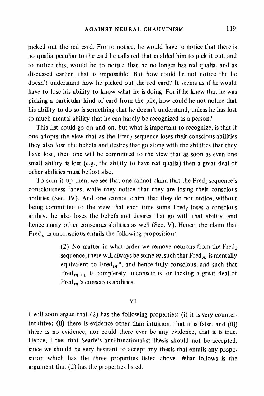**picked out the red card. For to notice, he would have to notice that there is no qualia peculiar to the card he calls red that enabled him to pick it out, and to notice this, would be to notice that he no longer has red qualia, and as discussed earlier, that is impossible. But how could he not notice the he doesn't understand how he picked out the red card? It seems as if he would have to lose his ability to know what he is doing. For if he knew that he was picking a particular kind of card from the pile, how could he not notice that his ability to do so is something that he doesn't understand, unless he has lost so much mental ability that he can hardly be recognized as a person?** 

**This list could go on and on, but what is important to recognize, is that if**  one adopts the view that as the Fred<sub>i</sub> sequence loses their conscious abilities **they also lose the beliefs and desires that go along with the abilities that they have lost, then one will be committed to the view that as soon as even one small ability is lost (e.g., the ability to have red qualia) then a great deal of other abilities must be lost also.** 

To sum it up then, we see that one cannot claim that the Fred, sequence's **consciousness fades, while they notice that they are losing their conscious abilities (Sec. IV). And one cannot claim that they do not notice, without**  being committed to the view that each time some Fred, loses a conscious **ability, he also loses the beliefs and desires that go with that ability, and hence many other conscious abilities as well (Sec. V). Hence, the claim that Fred, is unconscious entails the following proposition:** 

> **(2) No matter in what order we remove neurons from the Fredi**  sequence, there will always be some  $m$ , such that  $Fred<sub>m</sub>$  is mentally equivalent to Fred $<sub>m</sub>$ <sup>\*</sup>, and hence fully conscious, and such that</sub> Fred $_{m+1}$  is completely unconscious, or lacking a great deal of **Fred,'s conscious abilities.**

#### **VI**

**I will soon argue that (2) has the following properties: (i) it is very counterintuitive; (ii) there is evidence other than intuition, that it is false, and (iii) there is no evidence, nor could there ever be any evidence, that it is true. Hence, I feel that Searle's anti-functionalist thesis should not be accepted, since we should be very hesitant to accept any thesis that entails any proposition which has the three properties listed above. What follows is the argument that (2) has the properties listed.**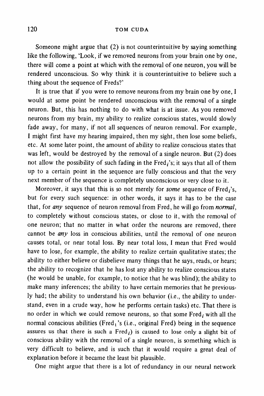**Someone might argue that (2) is not counterintuitive by saying something like the following, 'Look, if we removed neurons from your brain one by one, there will come a point at which with the removal of one neuron, you will be rendered unconscious. So why think it is counterintuitive to believe such a thing about the sequence of Freds?'** 

**It is true that if you were to remove neurons from my brain one by one, I would at some point be rendered unconscious with the removal of a single neuron. But, this has nothing to do with what is at issue. As you removed neurons from my brain, my ability to realize conscious states, would slowly fade away, for many, if not all sequences of neuron removal. For example, I might first have my hearing impaired, then my sight, then lose some beliefs, etc. At some later point, the amount of ability to realize conscious states that was left, would be destroyed by the removal of a single neuron. But (2) does**  not allow the possibility of such fading in the Fred<sub>i</sub>'s; it says that all of them **up to a certain point in the sequence are fully conscious and that the very next member of the sequence is completely unconscious or very close to it.** 

Moreover, it says that this is so not merely for *some* sequence of Fred<sub>i</sub>'s, **but for every such sequence: in other words, it says it has to be the case that, for any sequence of neuron removal from Fred, he will go from normal, to completely without conscious states, or close to it, with the removal of one neuron; that no matter in what order the neurons are removed, there cannot be any loss in conscious abilities, until the removal of one neuron causes total, or near total loss. By near total loss, I mean that Fred would have to lose, for example, the ability to realize certain qualitative states; the ability to either believe or disbelieve many things that he says, reads, or hears; the ability to recognize that he has lost any ability to realize conscious states (he would be unable, for example, to notice that he was blind); the ability to make many inferences; the ability to have certain memories that he previously had; the ability to understand his own behavior (i.e., the ability to understand, even in a crude way, how he performs certain tasks) etc. That there is**  no order in which we could remove neurons, so that some Fred<sub>i</sub> with all the **normal conscious abilities (Fred, 's (i.e., original Fred) being in the sequence**  assures us that there is such a  $Fred<sub>i</sub>$ ) is caused to lose only a slight bit of **conscious ability with the removal of a single neuron, is something which is very difficult to believe, and is such that it would require a great deal of explanation before it became the least bit plausible.** 

**One might argue that there is a lot of redundancy in our neural network**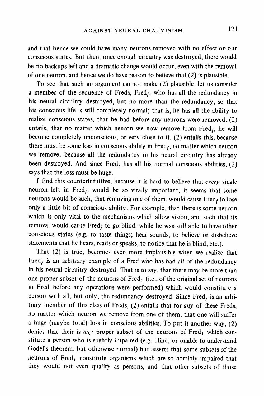**and that hence we could have many neurons removed with no effect on our conscious states. But then, once enough circuitry was destroyed, there would be no backups left and a dramatic change would occur, even with the removal of one neuron, and hence we do have reason to believe that (2) is plausible.** 

**To see that such an argument cannot make (2) plausible, let us consider**  a member of the sequence of Freds, Fred<sub>i</sub>, who has all the redundancy in **his neural circuitry destroyed, but no more than the redundancy, so that his conscious life is still completely normal; that is, he has all the ability to realize conscious states, that he had before any neurons were removed. (2)**  entails, that no matter which neuron we now remove from Fred<sub>i</sub>, he will **become completely unconscious, or very close to it. (2) entails this, because there must be some loss in conscious ability in Fred;, no matter which neuron we remove, because all the redundancy in his neural circuitry has already**  been destroyed. And since Fred<sub>i</sub> has all his normal conscious abilities, (2) **says that the loss must be huge.** 

**I find this counterintuitive, because it is hard to believe that every single**  neuron left in Fred<sub>i</sub>, would be so vitally important, it seems that some neurons would be such, that removing one of them, would cause Fred<sub>i</sub> to lose **only a little bit of conscious ability. For example, that there is some neuron which is only vital to the mechanisms which allow vision, and such that its**  removal would cause Fred<sub>i</sub> to go blind, while he was still able to have other **conscious states (e.g. to taste things; hear sounds, to believe or disbelieve statements that he hears, reads or speaks, to notice that he is blind, etc.).** 

**That (2) is true, becomes even more implausible when we realize that**  Fred<sub>*i*</sub> is an arbitrary example of a Fred who has had all of the redundancy **in his neural circuitry destroyed. That is to say, that there may be more than**  one proper subset of the neurons of Fred<sub>1</sub> (i.e., of the original set of neurons **in Fred before any operations were performed) which would constitute a**  person with all, but only, the redundancy destroyed. Since Fred<sub>i</sub> is an arbi**trary member of this class of Freds, (2) entails that for any of these Freds, no matter which neuron we remove from one of them, that one will suffer a huge (maybe total) loss in conscious abilities. To put it another way, (2)**  denies that their is any proper subset of the neurons of Fred<sub>1</sub> which con**stitute a person who is slightly impaired (e.g. blind, or unable to understand Godel's theorem, but otherwise normal) but asserts that some subsets of the**  neurons of Fred<sub>1</sub> constitute organisms which are so horribly impaired that **they would not even qualify as persons, and that other subsets of those**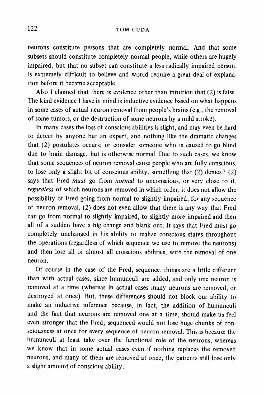**neurons constitute persons that are completely normal. And that some subsets should constitute completely normal people, while others are hugely impaired, but that no subset can constitute a less radically impaired person, is extremely difficult to believe and would require a great deal of explanation before it became acceptable.** 

**Also I claimed that there is evidence other than intuition that (2) is false. The kind evidence I have in mind is inductive evidence based on what happens in some cases of actual neuron removal from people's brains (e.g., the removal of some tumors, or the destruction of some neurons by a mild stroke).** 

**In many cases the loss of conscious abilities is slight, and may even be hard to detect by anyone but an expert, and nothing like the dramatic changes that (2) postulates occurs; or consider someone who is caused to go blind due to brain damage, but is otherwise normal. Due to such cases, we know that some sequences of neuron removal cause people who are fully conscious, to lose only a slight bit of conscious ability, something that (2) denies.5 (2) says that Fred must go from normal to unconscious, or very close to it, regardless of which neurons are removed in which order, it does not allow the possibility of Fred going from normal to slightly impaired, for any sequence of neuron removal. (2) does not even allow that there is any way that Fred can go from normal to slightly impaired, to slightly more impaired and then all of a sudden have a big change and blank out. It says that Fred must go completely unchanged in his ability to realize conscious states throughout the operations (regardless of which sequence we use to remove the neurons) and then lose all or almost all conscious abilities, with the removal of one neuron.** 

Of course in the case of the  $Fred_i$  sequence, things are a little different **than with actual cases, since humunculi are added, and only one neuron is removed at a time (whereas in actual cases many neurons are removed, or destroyed at once). But, these differences should not block our ability to make an inductive inference because, in fact, the addition of humunculi and the fact that neurons are removed one at a time, should make us feel**  even stronger that the Fred<sub>i</sub> sequenced would not lose huge chunks of con**sciousness at once for every sequence of neuron removal. This is because the humunculi at least take over the functional role of the neurons, whereas we know that in some actual cases even if nothing replaces the removed neurons, and many of them are removed at once, the patients still lose only a slight amount of conscious ability.**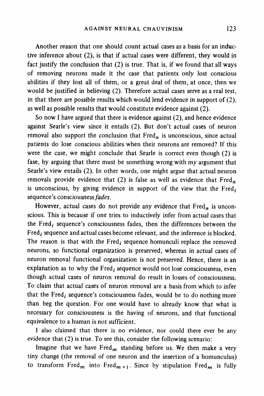**Another reason that one should count actual cases as a basis for an inductive inference about (2), is that if actual cases were different, they would in fact justify the conclusion that (2) is true. That is, if we found that all ways of removing neurons made it the case that patients only lost conscious abilities if they lost all of them, or a great deal of them, at once, then we would be justified in believing (2). Therefore actual cases serve as a real test, in that there are possible results which would lend evidence in support of (2), as well as possible results that would constitute evidence against (2).** 

**So now I have argued that there is evidence against (2), and hence evidence against Searle's view since it entails (2). But don't actual cases of neuron**  removal also support the conclusion that  $Fred<sub>n</sub>$  is unconscious, since actual **patients do lose conscious abilities when their neurons are removed? If this were the case, we might conclude that Searle is correct even though (2) is fase, by arguing that there must be something wrong with my argument that Searle's view entails (2). In other words, one might argue that actual neuron**  removals provide evidence that (2) is false as well as evidence that Fred<sub>n</sub> is unconscious, by giving evidence in support of the view that the  $Fred<sub>i</sub>$ **sequence's consciousnessfades.** 

However, actual cases do not provide any evidence that Fred<sub>n</sub> is uncon**scious. This is because if one tries to inductively infer from actual cases that**  the Fred<sub>i</sub> sequence's consciousness fades, then the differences between the Fred<sub>i</sub> sequence and actual cases become relevant, and the inference is blocked. The reason is that with the Fred<sub>i</sub> sequence homunculi replace the removed **neurons, so functional organization is preserved, whereas in actual cases of neuron removal functional organization is not preserved. Hence, there is an**  explanation as to why the  $Fred<sub>i</sub>$  sequence would not lose consciousness, even **though actual cases of neuron removal do result in losses of consciousness. To claim that actual cases of neuron removal are a basis from which to infer**  that the Fred<sub>i</sub> sequence's consciousness fades, would be to do nothing more **than beg the question. For one would have to already know that what is necessary for consciousness is the having of neurons, and that functional equivalence to a human is not sufficient.** 

**I also claimed that there is no evidence, nor could there ever be any evidence that (2) is true. To see this, consider the following scenario:** 

Imagine that we have  $Fred<sub>m</sub>$  standing before us. We then make a very **tiny change (the removal of one neuron and the insertion of a homunculus)**  to transform Fred<sub>m</sub> into Fred<sub>m +1</sub>. Since by stipulation Fred<sub>m</sub> is fully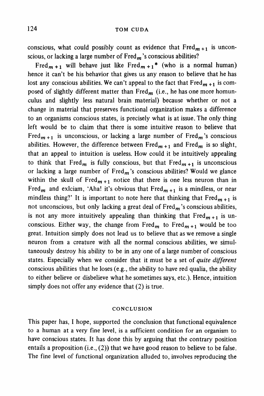conscious, what could possibly count as evidence that  $Fred_{m+1}$  is unconscious, or lacking a large number of Fred<sub>m</sub>'s conscious abilities?

Fred<sub>m +1</sub> will behave just like Fred<sub>m +1</sub><sup>\*</sup> (who is a normal human) **hence it can't be his behavior that gives us any reason to believe that he has**  lost any conscious abilities. We can't appeal to the fact that  $Fred_{m+1}$  is composed of slightly different matter than Fred<sub>m</sub> (i.e., he has one more homun**culus and slightly less natural brain material) because whether or not a change in material that preserves functional organization makes a difference to an organisms conscious states, is precisely what is at issue. The only thing left would be to claim that there is some intuitive reason to believe that**  Fred<sub>m +1</sub> is unconscious, or lacking a large number of Fred<sub>m</sub>'s conscious abilities. However, the difference between  $Fred_{m+1}$  and  $Fred_m$  is so slight, **that an appeal to intuition is useless. How could it be intuitively appealing**  to think that Fred<sub>m</sub> is fully conscious, but that  $Fred_{m+1}$  is unconscious **or lacking a large number of Fredm's conscious abilities? Would we glance**  within the skull of Fred<sub>m +1</sub> notice that there is one less neuron than in Fred<sub>m</sub> and exiciam, 'Aha! it's obvious that  $Fred_{m+1}$  is a mindless, or near mindless thing?' It is important to note here that thinking that  $Fred_{m+1}$  is not unconscious, but only lacking a great deal of Fred<sub>m</sub>'s conscious abilities, is not any more intuitively appealing than thinking that  $Fred_{m+1}$  is unconscious. Either way, the change from Fred<sub>m</sub> to Fred<sub>m +1</sub> would be too **great. Intuition simply does not lead us to believe that as we remove a single neuron from a creature with all the normal conscious abilities, we simultaneously destroy his ability to be in any one of a large number of conscious states. Especially when we consider that it must be a set of quite different conscious abilities that he loses (e.g., the ability to have red qualia, the ability to either believe or disbelieve what he sometimes says, etc.). Hence, intuition simply does not offer any evidence that (2) is true.** 

### **CONCLUSION**

**This paper has, I hope, supported the conclusion that functional equivalence to a human at a very fine level, is a sufficient condition for an organism to have conscious states. It has done this by arguing that the contrary position entails a proposition (i.e., (2)) that we have good reason to believe to be false. The fine level of functional organization alluded to, involves reproducing the**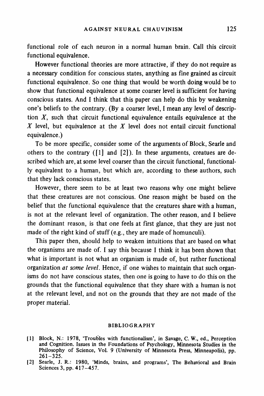**functional role of each neuron in a normal human brain. Call this circuit functional equivalence.** 

**However functional theories are more attractive, if they do not require as a necessary condition for conscious states, anything as fine grained as circuit functional equivalence. So one thing that would be worth doing would be to show that functional equivalence at some coarser level is sufficient for having conscious states. And I think that this paper can help do this by weakening one's beliefs to the contrary. (By a coarser level, I mean any level of description X, such that circuit functional equivalence entails equivalence at the X level, but equivalence at the X level does not entail circuit functional equivalence.)** 

**To be more specific, consider some of the arguments of Block, Searle and others to the contrary ([1] and [2]). In these arguments, creatues are described which are, at some level coarser than the circuit functional, functionally equivalent to a human, but which are, according to these authors, such that they lack conscious states.** 

**However, there seem to be at least two reasons why one might believe that these creatures are not conscious. One reason might be based on the belief that the functional equivalence that the creatures share with a human, is not at the relevant level of organization. The other reason, and I believe the dominant reason, is that one feels at first glance, that they are just not made of the right kind of stuff (e.g., they are made of homunculi).** 

**This paper then, should help to weaken intuitions that are based on what the organisms are made of. I say this because I think it has been shown that what is important is not what an organism is made of, but rather functional organization at some level. Hence, if one wishes to maintain that such organisms do not have conscious states, then one is going to have to do this on the grounds that the functional equivalence that they share with a human is not at the relevant level, and not on the grounds that they are not made of the proper material.** 

### **BIBLIOGRAPHY**

**<sup>[1</sup> Block, N.: 1978, 'Troubles with functionalism', in Savage, C. W., ed., Perception and Cognition. Issues in the Foundations of Psychology, Minnesota Studies in the Philosophy of Science, Vol. 9 (University of Minnesota Press, Minneapolis), pp. 261-325.** 

**<sup>[21</sup> Searle, J. R.: 1980, 'Minds, brains, and programs', The Behavioral and Brain Sciences 3, pp. 417-457.**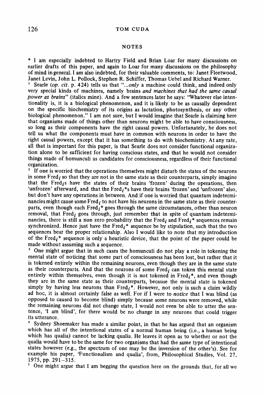#### **NOTES**

**\* I am especially indebted to Hartry Field and Brian Loar for many discussions on earlier drafts of this paper, and again to Loar for many discussions on the philosophy of mind in general. I am also indebted, for their valuable comments, to: Janet Fleetwood, Janet Levin, John L. Pollock, Stephen R. Schiffer, Thomas Uebel and Richard Warner.** 

Searle (op. cit. p. 424) tells us that "...only a machine could think, and indeed only **very special kinds of machines, namely brains and machines that had the same causal power as brains" (italics mine). And a few sentences later he says: "Whatever else intentionality is, it is a biological phenomenon, and it is likely to be as causally dependent on the specific biochemistry of its origins as lactation, photosynthesis, or any other biological phenomenon." I am not sure, but I would imagine that Searle is claiming here that organisms made of things other than neurons might be able to have consciousness, so long as their components have the right causal powers. Unfortunately, he does not tell us what the components must have in common with neurons in order to have the right causal powers, except that it has something to do with biochemistry. At any rate, all that is important for this paper, is that Searle does not consider functional organization alone to be sufficient for having conscious states, and that he would not consider things made of homunculi as candidates for consciousness, regardless of their functional organization.** 

**<sup>2</sup>If one is worried that the operations themselves might disturb the states of the neurons**  in some  $Fred<sub>i</sub>$  so that they are not in the same state as their counterparts, simply imagine that the Fred<sub>i</sub>s have the states of their brains 'frozen' during the operations, then 'unfrozen' afterward, and that the Fred<sub>i</sub><sup>\*</sup>s have their brains 'frozen' and 'unfrozen' also, **but don't have any operations in between. And if one is worried that quantum indetermi**nancies might cause some Fred<sub>i</sub> to not have his neurons in the same state as their counterparts, even though each Fred<sub>i</sub><sup>\*</sup> goes through the same circumstances, other than neuron removal, that Fred, goes through, just remember that in spite of quantum indeterminancies, there is still a non zero probability that the Fred<sub>i</sub> and Fred<sub>i</sub>\* sequences remain synchronized. Hence just have the  $Fred_i^*$  sequence be by stipulation, such that the two **sequences bear the proper relationship. Also I would like to note that my introduction**  of the Fred<sub>i</sub><sup>\*</sup> sequence is only a heuristic device, that the point of the paper could be **made without assuming such a sequence.** 

**<sup>3</sup>One might argue that in such cases the homunculi do not play a role in tokening the mental state of noticing that some part of consciousness has been lost, but rather that it is tokened entirely within the remaining neurons, even though they are in the same state**  as their counterparts. And that the neurons of some Fred<sub>i</sub> can token this mental state entirely within themselves, even though it is not tokened in  $Fred_i^*$ , and even though **they are in the same state as their counterparts, because the mental state is tokened**  simply by having less neurons than  $Fred<sub>i</sub>$ <sup>\*</sup>. However, not only is such a claim wildly **ad hoc, it is almost certainly false as well. For if I were to notice that I was blind (as opposed to caused to become blind) simply because some neurons were removed, while the remaining neurons did not change state, I would not even be able to utter the sentence, 'I am blind', for there would be no change in any neurons that could trigger its utterance.** 

**<sup>4</sup>Sydney Shoemaker has made a similar point, in that he has argued that an organism which has all of the intentional states of a normal human being (i.e., a human being which has qualia) cannot be lacking qualia. He leaves it open as to whether or not the qualia would have to be the same for two organisms that had the same type of intentional states however (e.g., the spectrum of one may be the inversion of the other's). See for example his paper, 'Functionalism and qualia', from, Philosophical Studies, Vol. 27, 1975, pp. 291-3 15.** 

**One might argue that I am begging the question here on the grounds that, for all we**